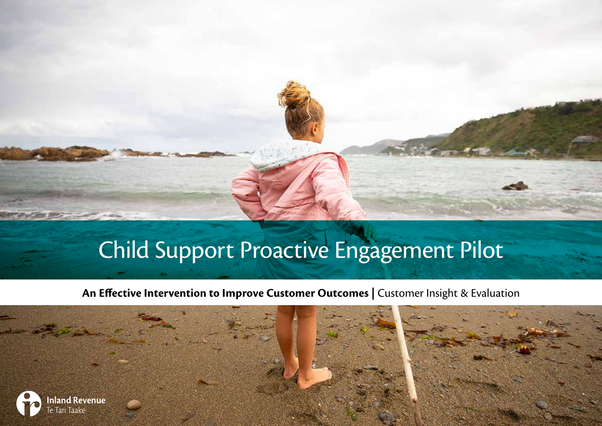# Child Support Proactive Engagement Pilot

**An Effective Intervention to Improve Customer Outcomes |** Customer Insight & Evaluation

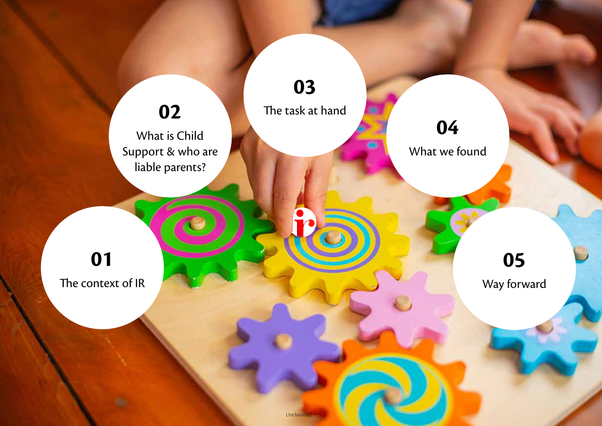

Unclassifie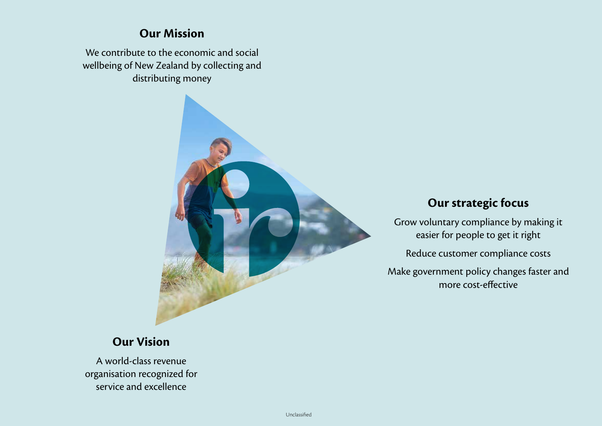#### **Our Mission**

We contribute to the economic and social wellbeing of New Zealand by collecting and distributing money



#### **Our strategic focus**

Grow voluntary compliance by making it easier for people to get it right

Reduce customer compliance costs

Make government policy changes faster and more cost-effective

#### **Our Vision**

A world-class revenue organisation recognized for service and excellence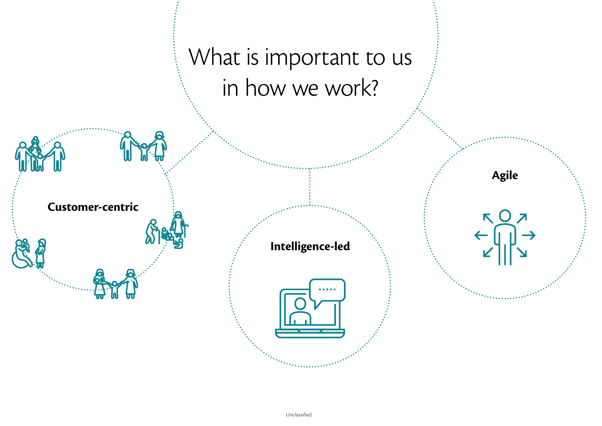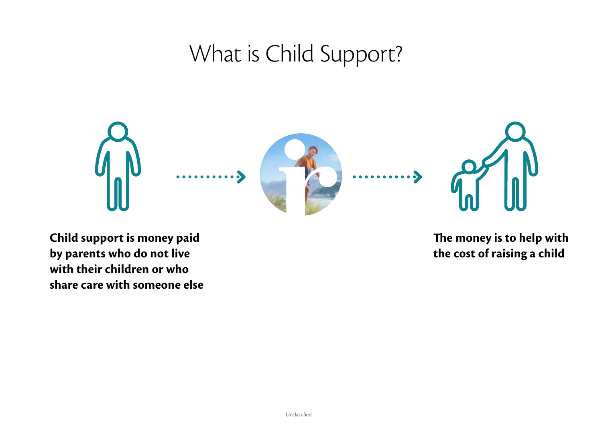### What is Child Support?



**Child support is money paid by parents who do not live with their children or who share care with someone else** **The money is to help with the cost of raising a child**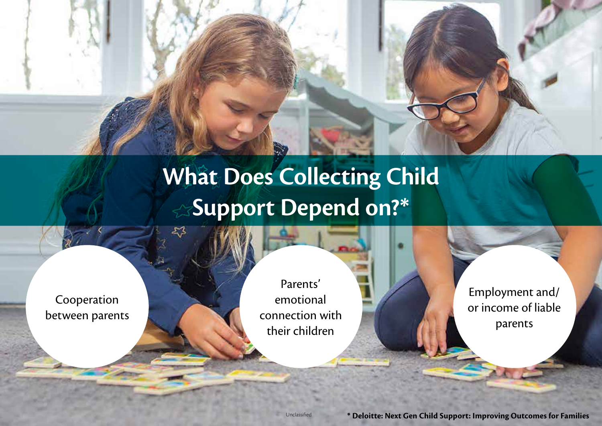# **What Does Collecting Child Support Depend on?\***

Cooperation between parents

Parents' emotional connection with their children

Employment and/ or income of liable parents

Unclassified **\* Deloitte: Next Gen Child Support: Improving Outcomes for Families**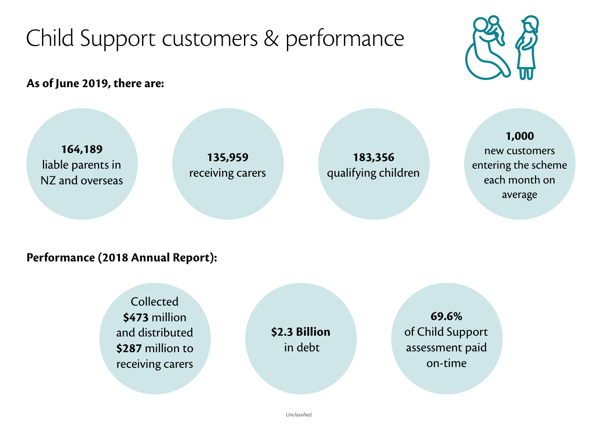# Child Support customers & performance



**As of June 2019, there are:**



#### **Performance (2018 Annual Report):**

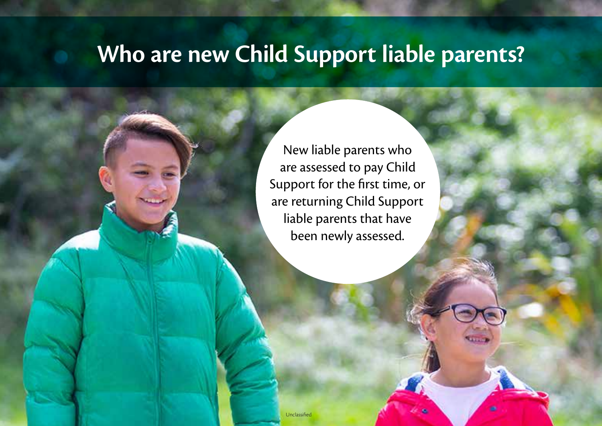### **Who are new Child Support liable parents?**

New liable parents who are assessed to pay Child Support for the first time, or are returning Child Support liable parents that have been newly assessed.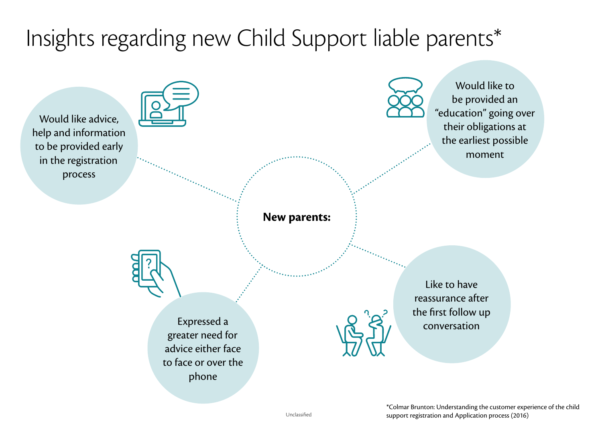## Insights regarding new Child Support liable parents\*

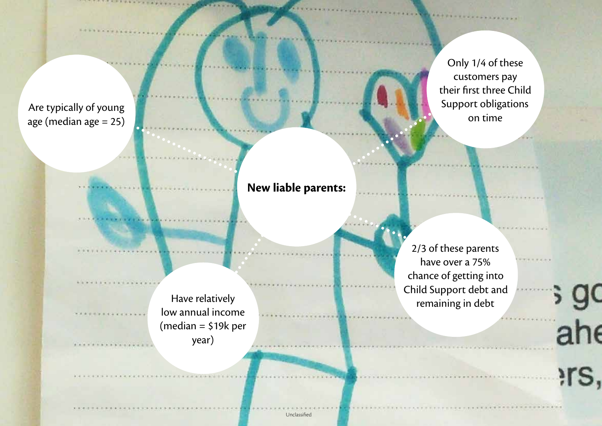Are typically of young age (median age = 25)

Only 1/4 of these customers pay their first three Child Support obligations on time

**New liable parents:**

low annual income (median = \$19k per year)

2/3 of these parents have over a 75% chance of getting into Child Support debt and Prima Support acce a Have relatively and the support access to the contract of the support access to the Have remaining in debt

ື້

Unclassified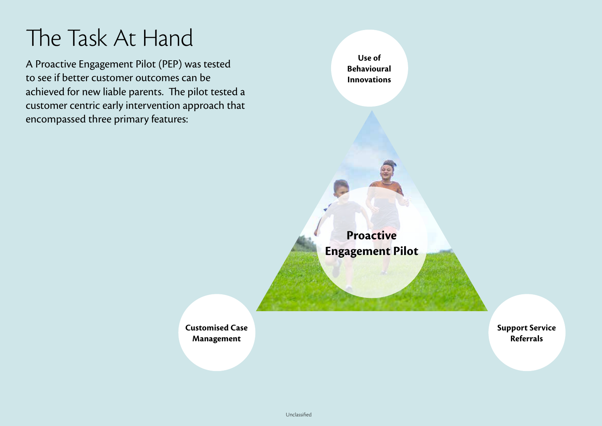### The Task At Hand

A Proactive Engagement Pilot (PEP) was tested to see if better customer outcomes can be achieved for new liable parents. The pilot tested a customer centric early intervention approach that encompassed three primary features:

**Use of Behavioural Innovations**

**Proactive Engagement Pilot**

**Customised Case Management**

**Support Service Referrals**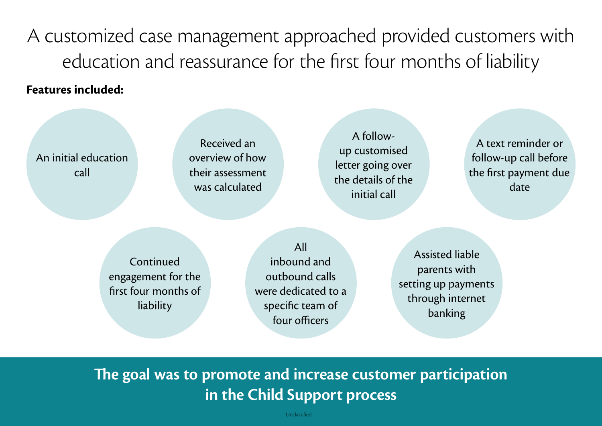A customized case management approached provided customers with education and reassurance for the first four months of liability

#### **Features included:**

An initial education call

Received an overview of how their assessment was calculated

A followup customised letter going over the details of the initial call

A text reminder or follow-up call before the first payment due date

**Continued** engagement for the first four months of liability

All inbound and outbound calls were dedicated to a specific team of four officers

Assisted liable parents with setting up payments through internet banking

### **The goal was to promote and increase customer participation in the Child Support process**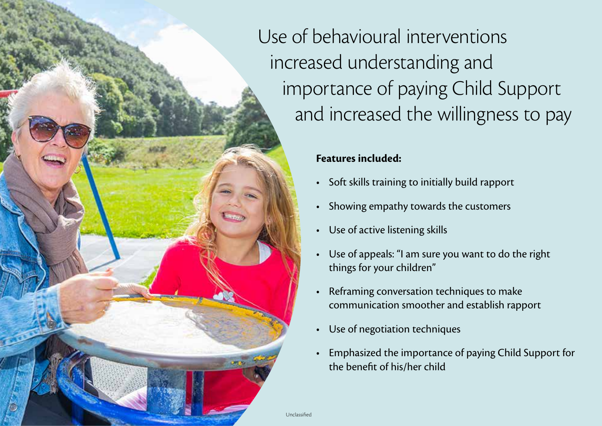Use of behavioural interventions increased understanding and importance of paying Child Support and increased the willingness to pay

#### **Features included:**

- Soft skills training to initially build rapport
- Showing empathy towards the customers
- Use of active listening skills
- Use of appeals: "I am sure you want to do the right things for your children"
- Reframing conversation techniques to make communication smoother and establish rapport
- Use of negotiation techniques
- Emphasized the importance of paying Child Support for the benefit of his/her child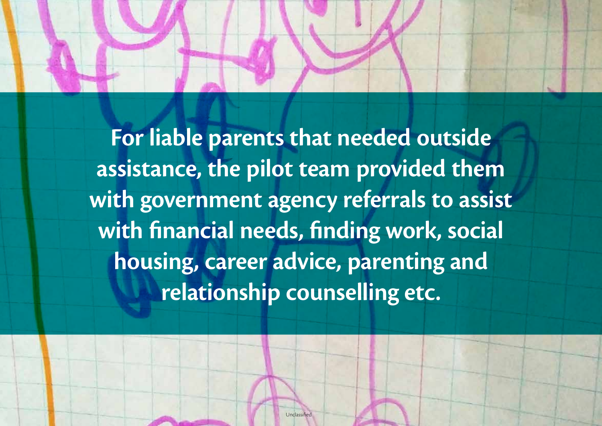**For liable parents that needed outside assistance, the pilot team provided them with government agency referrals to assist with financial needs, finding work, social housing, career advice, parenting and relationship counselling etc.**

**Unclassified**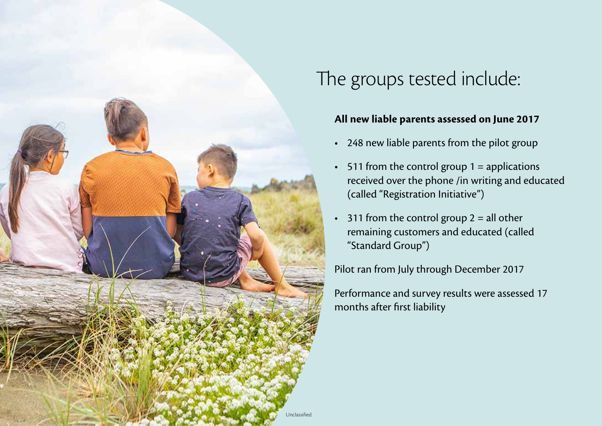

### The groups tested include:

#### **All new liable parents assessed on June 2017**

- 248 new liable parents from the pilot group
- $\cdot$  511 from the control group 1 = applications received over the phone /in writing and educated (called "Registration Initiative")
- 311 from the control group  $2 =$  all other remaining customers and educated (called "Standard Group")

Pilot ran from July through December 2017

Performance and survey results were assessed 17 months after first liability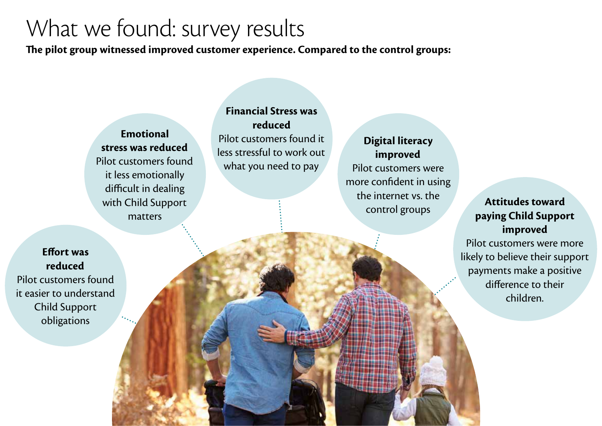### What we found: survey results

**The pilot group witnessed improved customer experience. Compared to the control groups:**

**Emotional stress was reduced** Pilot customers found it less emotionally difficult in dealing with Child Support matters

**Financial Stress was reduced** Pilot customers found it less stressful to work out what you need to pay

**Digital literacy improved** Pilot customers were more confident in using the internet vs. the control groups **Attitudes toward** 

### **paying Child Support improved**

Pilot customers were more likely to believe their support payments make a positive difference to their children.

**Effort was reduced** Pilot customers found it easier to understand Child Support obligations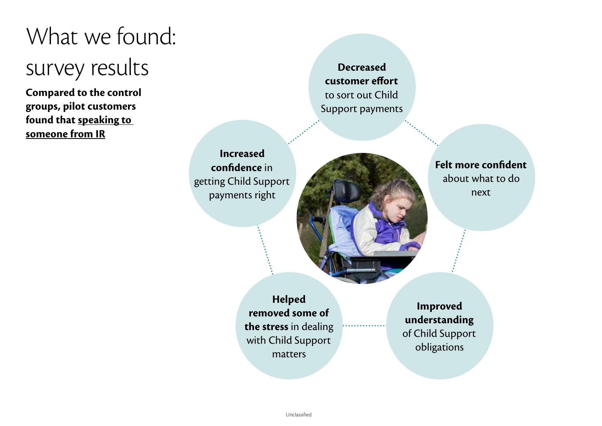# What we found: survey results

**Compared to the control groups, pilot customers found that speaking to someone from IR**

**Decreased customer effort** to sort out Child Support payments

**Increased confidence** in getting Child Support payments right



**Felt more confident** about what to do next

**Helped removed some of the stress** in dealing with Child Support matters

**Improved understanding**  of Child Support obligations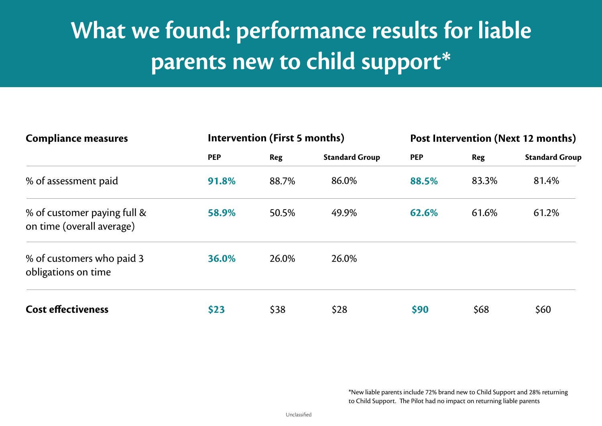# **What we found: performance results for liable parents new to child support\***

| <b>Compliance measures</b>                               | Intervention (First 5 months) |       |                       | Post Intervention (Next 12 months) |            |                       |
|----------------------------------------------------------|-------------------------------|-------|-----------------------|------------------------------------|------------|-----------------------|
|                                                          | <b>PEP</b>                    | Reg   | <b>Standard Group</b> | <b>PEP</b>                         | <b>Reg</b> | <b>Standard Group</b> |
| % of assessment paid                                     | 91.8%                         | 88.7% | 86.0%                 | 88.5%                              | 83.3%      | 81.4%                 |
| % of customer paying full &<br>on time (overall average) | 58.9%                         | 50.5% | 49.9%                 | 62.6%                              | 61.6%      | 61.2%                 |
| % of customers who paid 3<br>obligations on time         | 36.0%                         | 26.0% | 26.0%                 |                                    |            |                       |
| <b>Cost effectiveness</b>                                | \$23                          | \$38  | \$28                  | \$90                               | \$68       | \$60                  |

\*New liable parents include 72% brand new to Child Support and 28% returning to Child Support. The Pilot had no impact on returning liable parents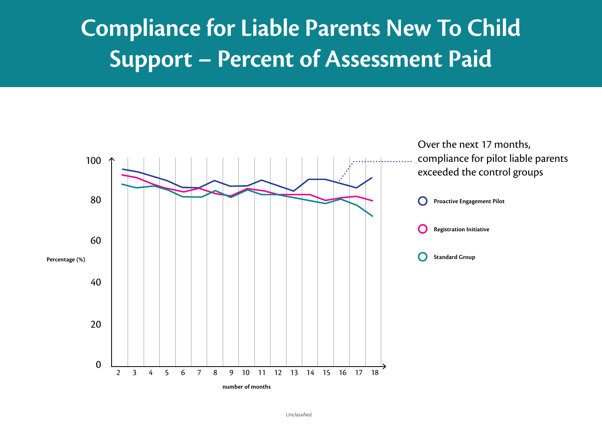## **Compliance for Liable Parents New To Child Support – Percent of Assessment Paid**

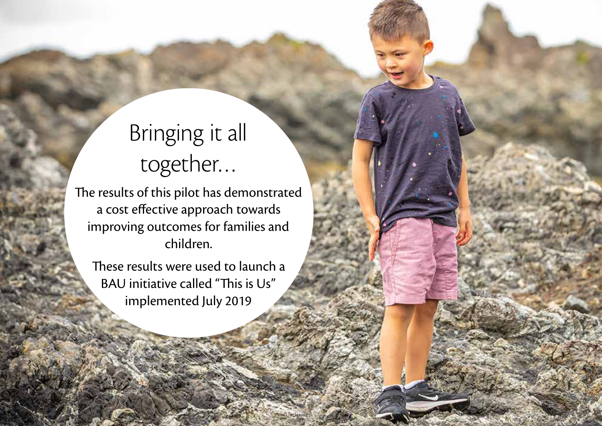# Bringing it all together…

The results of this pilot has demonstrated a cost effective approach towards improving outcomes for families and children.

These results were used to launch a BAU initiative called "This is Us" implemented July 2019

Unclassi<sup>/</sup>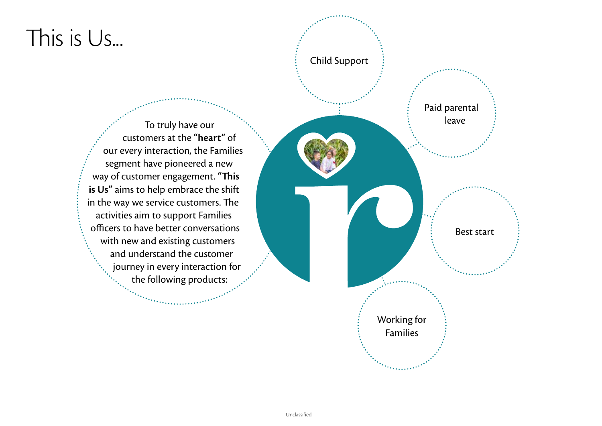### This is Us...

To truly have our customers at the **"heart"** of our every interaction, the Families segment have pioneered a new way of customer engagement. **"This is Us"** aims to help embrace the shift in the way we service customers. The activities aim to support Families officers to have better conversations with new and existing customers and understand the customer journey in every interaction for the following products:

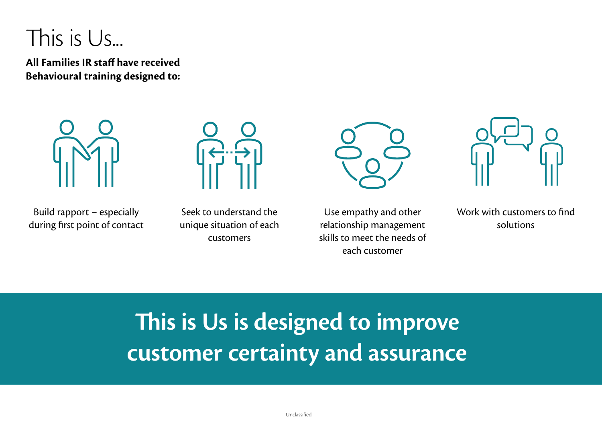### This is Us...

**All Families IR staff have received Behavioural training designed to:**



Build rapport – especially during first point of contact



Seek to understand the unique situation of each customers



Use empathy and other relationship management skills to meet the needs of each customer



Work with customers to find solutions

# **This is Us is designed to improve customer certainty and assurance**